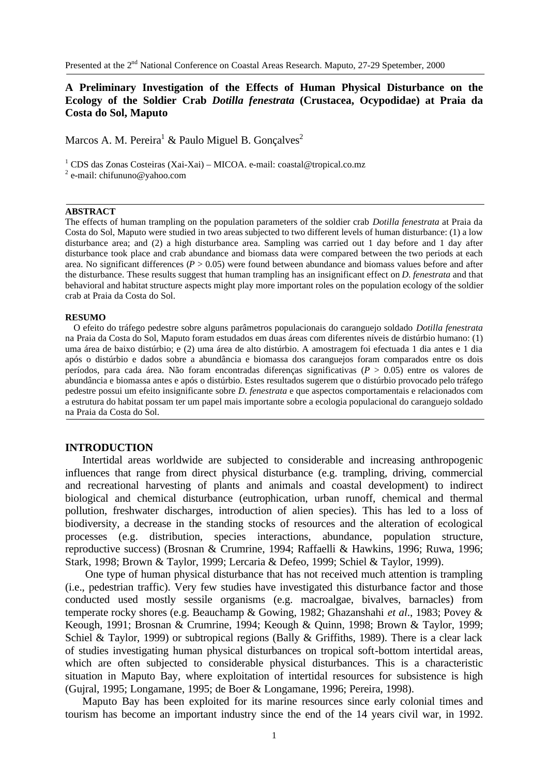## **A Preliminary Investigation of the Effects of Human Physical Disturbance on the Ecology of the Soldier Crab** *Dotilla fenestrata* **(Crustacea, Ocypodidae) at Praia da Costa do Sol, Maputo**

Marcos A. M. Pereira $^1$  & Paulo Miguel B. Gonçalves<sup>2</sup>

<sup>1</sup> CDS das Zonas Costeiras (Xai-Xai) – MICOA. e-mail: coastal@tropical.co.mz

 $2$  e-mail: chifununo@yahoo.com

#### **ABSTRACT**

The effects of human trampling on the population parameters of the soldier crab *Dotilla fenestrata* at Praia da Costa do Sol, Maputo were studied in two areas subjected to two different levels of human disturbance: (1) a low disturbance area; and (2) a high disturbance area. Sampling was carried out 1 day before and 1 day after disturbance took place and crab abundance and biomass data were compared between the two periods at each area. No significant differences ( $P > 0.05$ ) were found between abundance and biomass values before and after the disturbance. These results suggest that human trampling has an insignificant effect on *D*. *fenestrata* and that behavioral and habitat structure aspects might play more important roles on the population ecology of the soldier crab at Praia da Costa do Sol.

#### **RESUMO**

 O efeito do tráfego pedestre sobre alguns parâmetros populacionais do caranguejo soldado *Dotilla fenestrata* na Praia da Costa do Sol, Maputo foram estudados em duas áreas com diferentes níveis de distúrbio humano: (1) uma área de baixo distúrbio; e (2) uma área de alto distúrbio. A amostragem foi efectuada 1 dia antes e 1 dia após o distúrbio e dados sobre a abundância e biomassa dos caranguejos foram comparados entre os dois períodos, para cada área. Não foram encontradas diferenças significativas (*P* > 0.05) entre os valores de abundância e biomassa antes e após o distúrbio. Estes resultados sugerem que o distúrbio provocado pelo tráfego pedestre possui um efeito insignificante sobre *D*. *fenestrata* e que aspectos comportamentais e relacionados com a estrutura do habitat possam ter um papel mais importante sobre a ecologia populacional do caranguejo soldado na Praia da Costa do Sol.

## **INTRODUCTION**

 Intertidal areas worldwide are subjected to considerable and increasing anthropogenic influences that range from direct physical disturbance (e.g. trampling, driving, commercial and recreational harvesting of plants and animals and coastal development) to indirect biological and chemical disturbance (eutrophication, urban runoff, chemical and thermal pollution, freshwater discharges, introduction of alien species). This has led to a loss of biodiversity, a decrease in the standing stocks of resources and the alteration of ecological processes (e.g. distribution, species interactions, abundance, population structure, reproductive success) (Brosnan & Crumrine, 1994; Raffaelli & Hawkins, 1996; Ruwa, 1996; Stark, 1998; Brown & Taylor, 1999; Lercaria & Defeo, 1999; Schiel & Taylor, 1999).

 One type of human physical disturbance that has not received much attention is trampling (i.e., pedestrian traffic). Very few studies have investigated this disturbance factor and those conducted used mostly sessile organisms (e.g. macroalgae, bivalves, barnacles) from temperate rocky shores (e.g. Beauchamp & Gowing, 1982; Ghazanshahi *et al*., 1983; Povey & Keough, 1991; Brosnan & Crumrine, 1994; Keough & Quinn, 1998; Brown & Taylor, 1999; Schiel & Taylor, 1999) or subtropical regions (Bally & Griffiths, 1989). There is a clear lack of studies investigating human physical disturbances on tropical soft-bottom intertidal areas, which are often subjected to considerable physical disturbances. This is a characteristic situation in Maputo Bay, where exploitation of intertidal resources for subsistence is high (Gujral, 1995; Longamane, 1995; de Boer & Longamane, 1996; Pereira, 1998).

 Maputo Bay has been exploited for its marine resources since early colonial times and tourism has become an important industry since the end of the 14 years civil war, in 1992.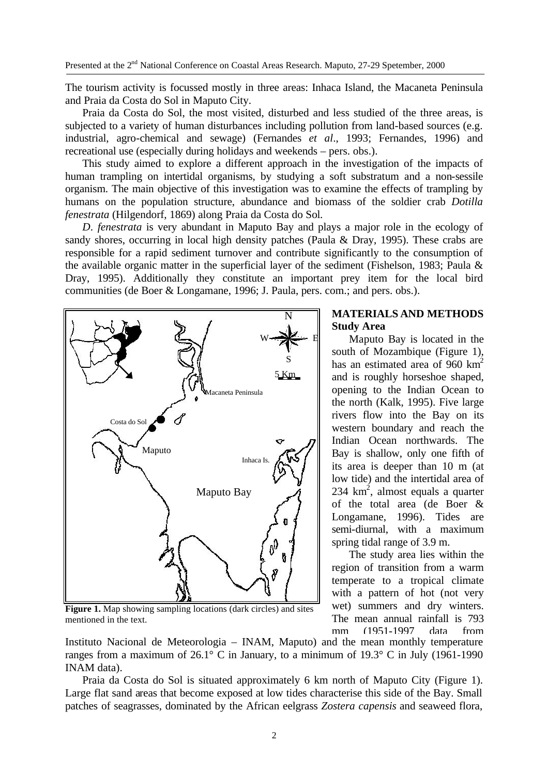The tourism activity is focussed mostly in three areas: Inhaca Island, the Macaneta Peninsula and Praia da Costa do Sol in Maputo City.

 Praia da Costa do Sol, the most visited, disturbed and less studied of the three areas, is subjected to a variety of human disturbances including pollution from land-based sources (e.g. industrial, agro-chemical and sewage) (Fernandes *et al*., 1993; Fernandes, 1996) and recreational use (especially during holidays and weekends – pers. obs.).

 This study aimed to explore a different approach in the investigation of the impacts of human trampling on intertidal organisms, by studying a soft substratum and a non-sessile organism. The main objective of this investigation was to examine the effects of trampling by humans on the population structure, abundance and biomass of the soldier crab *Dotilla fenestrata* (Hilgendorf, 1869) along Praia da Costa do Sol.

 *D*. *fenestrata* is very abundant in Maputo Bay and plays a major role in the ecology of sandy shores, occurring in local high density patches (Paula & Dray, 1995). These crabs are responsible for a rapid sediment turnover and contribute significantly to the consumption of the available organic matter in the superficial layer of the sediment (Fishelson, 1983; Paula & Dray, 1995). Additionally they constitute an important prey item for the local bird communities (de Boer & Longamane, 1996; J. Paula, pers. com.; and pers. obs.).



**Figure 1.** Map showing sampling locations (dark circles) and sites mentioned in the text.

## **MATERIALS AND METHODS Study Area**

 Maputo Bay is located in the south of Mozambique (Figure 1), has an estimated area of 960  $km<sup>2</sup>$ and is roughly horseshoe shaped, opening to the Indian Ocean to the north (Kalk, 1995). Five large rivers flow into the Bay on its western boundary and reach the Indian Ocean northwards. The Bay is shallow, only one fifth of its area is deeper than 10 m (at low tide) and the intertidal area of 234 km<sup>2</sup>, almost equals a quarter of the total area (de Boer & Longamane, 1996). Tides are semi-diurnal, with a maximum spring tidal range of 3.9 m.

 The study area lies within the region of transition from a warm temperate to a tropical climate with a pattern of hot (not very wet) summers and dry winters. The mean annual rainfall is 793

mm (1951-1997 data from

Instituto Nacional de Meteorologia – INAM, Maputo) and the mean monthly temperature ranges from a maximum of 26.1° C in January, to a minimum of 19.3° C in July (1961-1990 INAM data).

 Praia da Costa do Sol is situated approximately 6 km north of Maputo City (Figure 1). Large flat sand areas that become exposed at low tides characterise this side of the Bay. Small patches of seagrasses, dominated by the African eelgrass *Zostera capensis* and seaweed flora,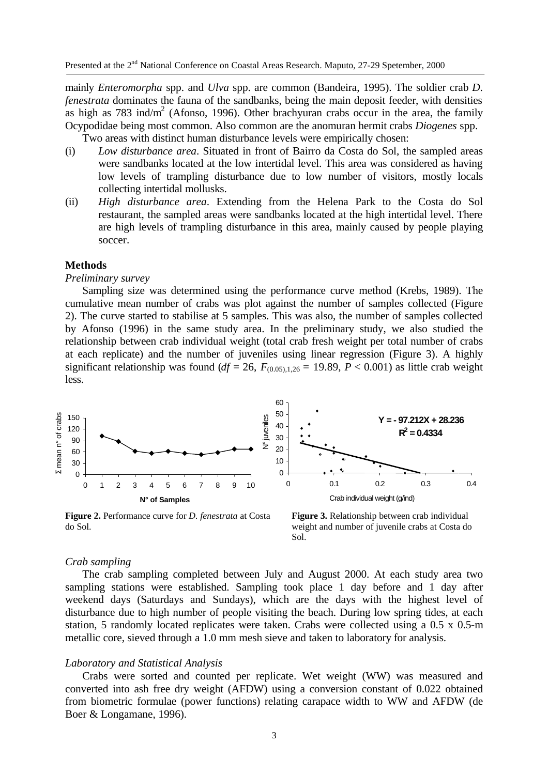mainly *Enteromorpha* spp. and *Ulva* spp. are common (Bandeira, 1995). The soldier crab *D*. *fenestrata* dominates the fauna of the sandbanks, being the main deposit feeder, with densities as high as 783 ind/m<sup>2</sup> (Afonso, 1996). Other brachyuran crabs occur in the area, the family Ocypodidae being most common. Also common are the anomuran hermit crabs *Diogenes* spp.

Two areas with distinct human disturbance levels were empirically chosen:

- (i) *Low disturbance area*. Situated in front of Bairro da Costa do Sol, the sampled areas were sandbanks located at the low intertidal level. This area was considered as having low levels of trampling disturbance due to low number of visitors, mostly locals collecting intertidal mollusks.
- (ii) *High disturbance area*. Extending from the Helena Park to the Costa do Sol restaurant, the sampled areas were sandbanks located at the high intertidal level. There are high levels of trampling disturbance in this area, mainly caused by people playing soccer.

#### **Methods**

## *Preliminary survey*

 Sampling size was determined using the performance curve method (Krebs, 1989). The cumulative mean number of crabs was plot against the number of samples collected (Figure 2). The curve started to stabilise at 5 samples. This was also, the number of samples collected by Afonso (1996) in the same study area. In the preliminary study, we also studied the relationship between crab individual weight (total crab fresh weight per total number of crabs at each replicate) and the number of juveniles using linear regression (Figure 3). A highly significant relationship was found  $(df = 26, F_{(0.05),1,26} = 19.89, P < 0.001)$  as little crab weight less.



**Figure 2.** Performance curve for *D*. *fenestrata* at Costa **Figure 3.** Relationship between crab individual do Sol. weight and number of juvenile crabs at Costa do

Sol.

#### *Crab sampling*

 The crab sampling completed between July and August 2000. At each study area two sampling stations were established. Sampling took place 1 day before and 1 day after weekend days (Saturdays and Sundays), which are the days with the highest level of disturbance due to high number of people visiting the beach. During low spring tides, at each station, 5 randomly located replicates were taken. Crabs were collected using a 0.5 x 0.5-m metallic core, sieved through a 1.0 mm mesh sieve and taken to laboratory for analysis.

## *Laboratory and Statistical Analysis*

 Crabs were sorted and counted per replicate. Wet weight (WW) was measured and converted into ash free dry weight (AFDW) using a conversion constant of 0.022 obtained from biometric formulae (power functions) relating carapace width to WW and AFDW (de Boer & Longamane, 1996).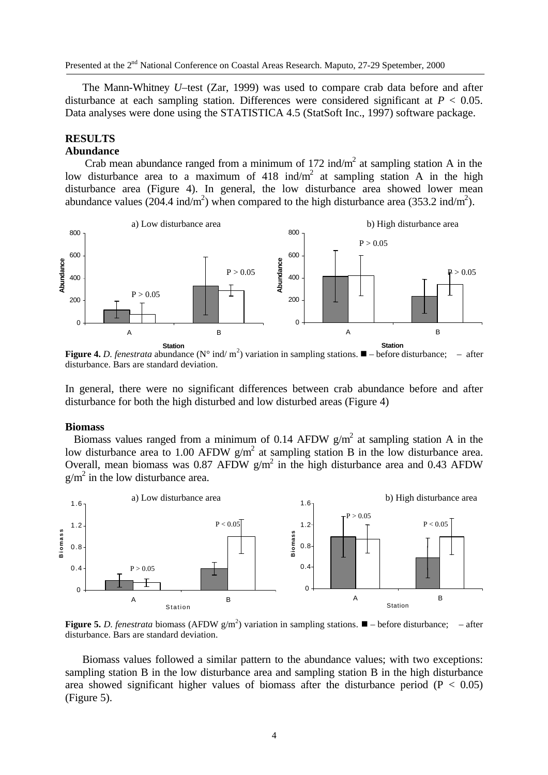The Mann-Whitney *U*–test (Zar, 1999) was used to compare crab data before and after disturbance at each sampling station. Differences were considered significant at  $P < 0.05$ . Data analyses were done using the STATISTICA 4.5 (StatSoft Inc., 1997) software package.

# **RESULTS**

# **Abundance**

Crab mean abundance ranged from a minimum of 172 ind/ $m<sup>2</sup>$  at sampling station A in the low disturbance area to a maximum of 418 ind/ $m<sup>2</sup>$  at sampling station A in the high disturbance area (Figure 4). In general, the low disturbance area showed lower mean abundance values (204.4 ind/m<sup>2</sup>) when compared to the high disturbance area (353.2 ind/m<sup>2</sup>).



**Figure 4.** *D. fenestrata* abundance (N° ind/m<sup>2</sup>) variation in sampling stations.  $\blacksquare$  – before disturbance;  $\epsilon$  – after disturbance. Bars are standard deviation.

In general, there were no significant differences between crab abundance before and after disturbance for both the high disturbed and low disturbed areas (Figure 4)

## **Biomass**

Biomass values ranged from a minimum of 0.14 AFDW  $g/m<sup>2</sup>$  at sampling station A in the low disturbance area to 1.00 AFDW  $g/m^2$  at sampling station B in the low disturbance area. Overall, mean biomass was 0.87 AFDW  $g/m^2$  in the high disturbance area and 0.43 AFDW  $g/m^2$  in the low disturbance area.



**Figure 5.** *D. fenestrata* biomass (AFDW  $g/m^2$ ) variation in sampling stations.  $\blacksquare$  – before disturbance;  $\epsilon$  – after disturbance. Bars are standard deviation.

 Biomass values followed a similar pattern to the abundance values; with two exceptions: sampling station B in the low disturbance area and sampling station B in the high disturbance area showed significant higher values of biomass after the disturbance period ( $P < 0.05$ ) (Figure 5).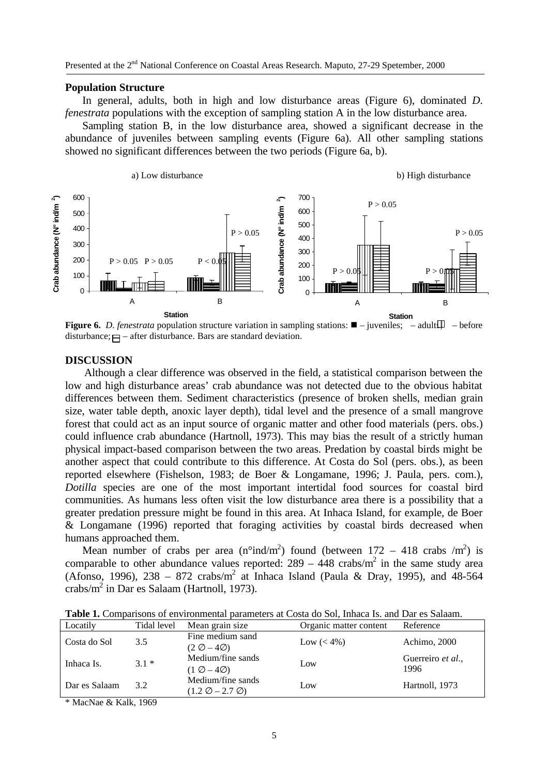#### **Population Structure**

 In general, adults, both in high and low disturbance areas (Figure 6), dominated *D*. *fenestrata* populations with the exception of sampling station A in the low disturbance area.

 Sampling station B, in the low disturbance area, showed a significant decrease in the abundance of juveniles between sampling events (Figure 6a). All other sampling stations showed no significant differences between the two periods (Figure 6a, b).



**Figure 6.** *D. fenestrata* population structure variation in sampling stations:  $\blacksquare$  – juveniles;  $\in$  adult $\downarrow\downarrow$  – before disturbance;  $\Box$  – after disturbance. Bars are standard deviation.

### **DISCUSSION**

 Although a clear difference was observed in the field, a statistical comparison between the low and high disturbance areas' crab abundance was not detected due to the obvious habitat differences between them. Sediment characteristics (presence of broken shells, median grain size, water table depth, anoxic layer depth), tidal level and the presence of a small mangrove forest that could act as an input source of organic matter and other food materials (pers. obs.) could influence crab abundance (Hartnoll, 1973). This may bias the result of a strictly human physical impact-based comparison between the two areas. Predation by coastal birds might be another aspect that could contribute to this difference. At Costa do Sol (pers. obs.), as been reported elsewhere (Fishelson, 1983; de Boer & Longamane, 1996; J. Paula, pers. com.), *Dotilla* species are one of the most important intertidal food sources for coastal bird communities. As humans less often visit the low disturbance area there is a possibility that a greater predation pressure might be found in this area. At Inhaca Island, for example, de Boer & Longamane (1996) reported that foraging activities by coastal birds decreased when humans approached them.

Mean number of crabs per area (n°ind/m<sup>2</sup>) found (between  $172 - 418$  crabs /m<sup>2</sup>) is comparable to other abundance values reported:  $289 - 448$  crabs/m<sup>2</sup> in the same study area (Afonso, 1996), 238 – 872 crabs/m<sup>2</sup> at Inhaca Island (Paula & Dray, 1995), and 48-564  $crabs/m<sup>2</sup>$  in Dar es Salaam (Hartnoll, 1973).

| Locatily                                                                          | Tidal level | Mean grain size                                        | Organic matter content | Reference                 |
|-----------------------------------------------------------------------------------|-------------|--------------------------------------------------------|------------------------|---------------------------|
| Costa do Sol                                                                      | 3.5         | Fine medium sand<br>$(2\emptyset - 4\emptyset)$        | Low $(< 4\%)$          | Achimo, 2000              |
| Inhaca Is.                                                                        | $3.1*$      | Medium/fine sands<br>$(1 \oslash -4 \oslash)$          | Low                    | Guerreiro et al.,<br>1996 |
| Dar es Salaam                                                                     | 3.2         | Medium/fine sands<br>$(1.2 \emptyset - 2.7 \emptyset)$ | Low                    | Hartholl, 1973            |
| $\mathbf{A}$ $\mathbf{A}$ $\mathbf{B}$ $\mathbf{A}$ $\mathbf{B}$<br>0.77.11.40.20 |             |                                                        |                        |                           |

**Table 1.** Comparisons of environmental parameters at Costa do Sol, Inhaca Is. and Dar es Salaam.

\* MacNae & Kalk, 1969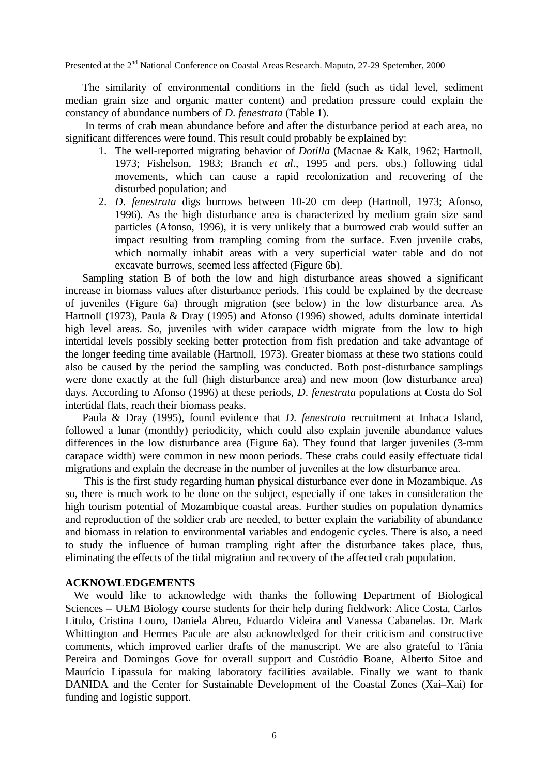The similarity of environmental conditions in the field (such as tidal level, sediment median grain size and organic matter content) and predation pressure could explain the constancy of abundance numbers of *D*. *fenestrata* (Table 1).

 In terms of crab mean abundance before and after the disturbance period at each area, no significant differences were found. This result could probably be explained by:

- 1. The well-reported migrating behavior of *Dotilla* (Macnae & Kalk, 1962; Hartnoll, 1973; Fishelson, 1983; Branch *et al*., 1995 and pers. obs.) following tidal movements, which can cause a rapid recolonization and recovering of the disturbed population; and
- 2. *D*. *fenestrata* digs burrows between 10-20 cm deep (Hartnoll, 1973; Afonso, 1996). As the high disturbance area is characterized by medium grain size sand particles (Afonso, 1996), it is very unlikely that a burrowed crab would suffer an impact resulting from trampling coming from the surface. Even juvenile crabs, which normally inhabit areas with a very superficial water table and do not excavate burrows, seemed less affected (Figure 6b).

 Sampling station B of both the low and high disturbance areas showed a significant increase in biomass values after disturbance periods. This could be explained by the decrease of juveniles (Figure 6a) through migration (see below) in the low disturbance area. As Hartnoll (1973), Paula & Dray (1995) and Afonso (1996) showed, adults dominate intertidal high level areas. So, juveniles with wider carapace width migrate from the low to high intertidal levels possibly seeking better protection from fish predation and take advantage of the longer feeding time available (Hartnoll, 1973). Greater biomass at these two stations could also be caused by the period the sampling was conducted. Both post-disturbance samplings were done exactly at the full (high disturbance area) and new moon (low disturbance area) days. According to Afonso (1996) at these periods, *D*. *fenestrata* populations at Costa do Sol intertidal flats, reach their biomass peaks.

 Paula & Dray (1995), found evidence that *D*. *fenestrata* recruitment at Inhaca Island, followed a lunar (monthly) periodicity, which could also explain juvenile abundance values differences in the low disturbance area (Figure 6a). They found that larger juveniles (3-mm carapace width) were common in new moon periods. These crabs could easily effectuate tidal migrations and explain the decrease in the number of juveniles at the low disturbance area.

 This is the first study regarding human physical disturbance ever done in Mozambique. As so, there is much work to be done on the subject, especially if one takes in consideration the high tourism potential of Mozambique coastal areas. Further studies on population dynamics and reproduction of the soldier crab are needed, to better explain the variability of abundance and biomass in relation to environmental variables and endogenic cycles. There is also, a need to study the influence of human trampling right after the disturbance takes place, thus, eliminating the effects of the tidal migration and recovery of the affected crab population.

## **ACKNOWLEDGEMENTS**

 We would like to acknowledge with thanks the following Department of Biological Sciences – UEM Biology course students for their help during fieldwork: Alice Costa, Carlos Litulo, Cristina Louro, Daniela Abreu, Eduardo Videira and Vanessa Cabanelas. Dr. Mark Whittington and Hermes Pacule are also acknowledged for their criticism and constructive comments, which improved earlier drafts of the manuscript. We are also grateful to Tânia Pereira and Domingos Gove for overall support and Custódio Boane, Alberto Sitoe and Maurício Lipassula for making laboratory facilities available. Finally we want to thank DANIDA and the Center for Sustainable Development of the Coastal Zones (Xai–Xai) for funding and logistic support.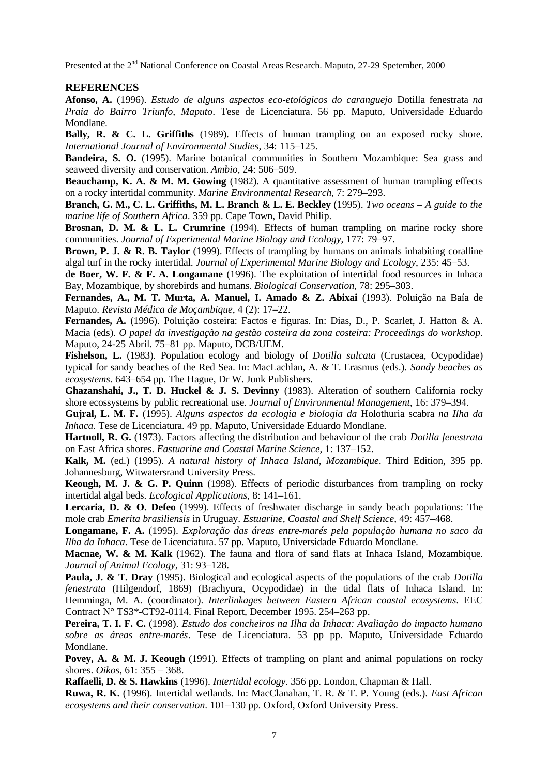Presented at the 2<sup>nd</sup> National Conference on Coastal Areas Research. Maputo, 27-29 Spetember, 2000

#### **REFERENCES**

**Afonso, A.** (1996). *Estudo de alguns aspectos eco-etológicos do caranguejo* Dotilla fenestrata *na Praia do Bairro Triunfo, Maputo*. Tese de Licenciatura. 56 pp. Maputo, Universidade Eduardo Mondlane.

**Bally, R. & C. L. Griffiths** (1989). Effects of human trampling on an exposed rocky shore. *International Journal of Environmental Studies*, 34: 115–125.

**Bandeira, S. O.** (1995). Marine botanical communities in Southern Mozambique: Sea grass and seaweed diversity and conservation. *Ambio*, 24: 506–509.

**Beauchamp, K. A. & M. M. Gowing** (1982). A quantitative assessment of human trampling effects on a rocky intertidal community. *Marine Environmental Research*, 7: 279–293.

**Branch, G. M., C. L. Griffiths, M. L. Branch & L. E. Beckley** (1995). *Two oceans – A guide to the marine life of Southern Africa*. 359 pp. Cape Town, David Philip.

**Brosnan, D. M. & L. L. Crumrine** (1994). Effects of human trampling on marine rocky shore communities. *Journal of Experimental Marine Biology and Ecology*, 177: 79–97.

**Brown, P. J. & R. B. Taylor** (1999). Effects of trampling by humans on animals inhabiting coralline algal turf in the rocky intertidal. *Journal of Experimental Marine Biology and Ecology*, 235: 45–53.

**de Boer, W. F. & F. A. Longamane** (1996). The exploitation of intertidal food resources in Inhaca Bay, Mozambique, by shorebirds and humans. *Biological Conservation*, 78: 295–303.

**Fernandes, A., M. T. Murta, A. Manuel, I. Amado & Z. Abixai** (1993). Poluição na Baía de Maputo. *Revista Médica de Moçambique*, 4 (2): 17–22.

**Fernandes, A.** (1996). Poluição costeira: Factos e figuras. In: Dias, D., P. Scarlet, J. Hatton & A. Macia (eds). *O papel da investigação na gestão costeira da zona costeira: Proceedings do workshop*. Maputo, 24-25 Abril. 75–81 pp. Maputo, DCB/UEM.

**Fishelson, L.** (1983). Population ecology and biology of *Dotilla sulcata* (Crustacea, Ocypodidae) typical for sandy beaches of the Red Sea. In: MacLachlan, A. & T. Erasmus (eds.). *Sandy beaches as ecosystems*. 643–654 pp. The Hague, Dr W. Junk Publishers.

**Ghazanshahi, J., T. D. Huckel & J. S. Devinny** (1983). Alteration of southern California rocky shore ecossystems by public recreational use. *Journal of Environmental Management*, 16: 379–394.

**Gujral, L. M. F.** (1995). *Alguns aspectos da ecologia e biologia da* Holothuria scabra *na Ilha da Inhaca*. Tese de Licenciatura. 49 pp. Maputo, Universidade Eduardo Mondlane.

**Hartnoll, R. G.** (1973). Factors affecting the distribution and behaviour of the crab *Dotilla fenestrata* on East Africa shores. *Eastuarine and Coastal Marine Science*, 1: 137–152.

**Kalk, M.** (ed.) (1995). *A natural history of Inhaca Island, Mozambique*. Third Edition, 395 pp. Johannesburg, Witwatersrand University Press.

**Keough, M. J. & G. P. Quinn** (1998). Effects of periodic disturbances from trampling on rocky intertidal algal beds. *Ecological Applications*, 8: 141–161.

**Lercaria, D. & O. Defeo** (1999). Effects of freshwater discharge in sandy beach populations: The mole crab *Emerita brasiliensis* in Uruguay. *Estuarine, Coastal and Shelf Science*, 49: 457–468.

**Longamane, F. A.** (1995). *Exploração das áreas entre-marés pela população humana no saco da Ilha da Inhaca*. Tese de Licenciatura. 57 pp. Maputo, Universidade Eduardo Mondlane.

Macnae, W. & M. Kalk (1962). The fauna and flora of sand flats at Inhaca Island, Mozambique. *Journal of Animal Ecology*, 31: 93–128.

**Paula, J. & T. Dray** (1995). Biological and ecological aspects of the populations of the crab *Dotilla fenestrata* (Hilgendorf, 1869) (Brachyura, Ocypodidae) in the tidal flats of Inhaca Island. In: Hemminga, M. A. (coordinator). *Interlinkages between Eastern African coastal ecosystems*. EEC Contract N° TS3\*-CT92-0114. Final Report, December 1995. 254–263 pp.

**Pereira, T. I. F. C.** (1998). *Estudo dos concheiros na Ilha da Inhaca: Avaliação do impacto humano sobre as áreas entre-marés*. Tese de Licenciatura. 53 pp pp. Maputo, Universidade Eduardo Mondlane.

Povey, A. & M. J. Keough (1991). Effects of trampling on plant and animal populations on rocky shores. *Oikos*, 61: 355 – 368.

**Raffaelli, D. & S. Hawkins** (1996). *Intertidal ecology*. 356 pp. London, Chapman & Hall.

**Ruwa, R. K.** (1996). Intertidal wetlands. In: MacClanahan, T. R. & T. P. Young (eds.). *East African ecosystems and their conservation*. 101–130 pp. Oxford, Oxford University Press.